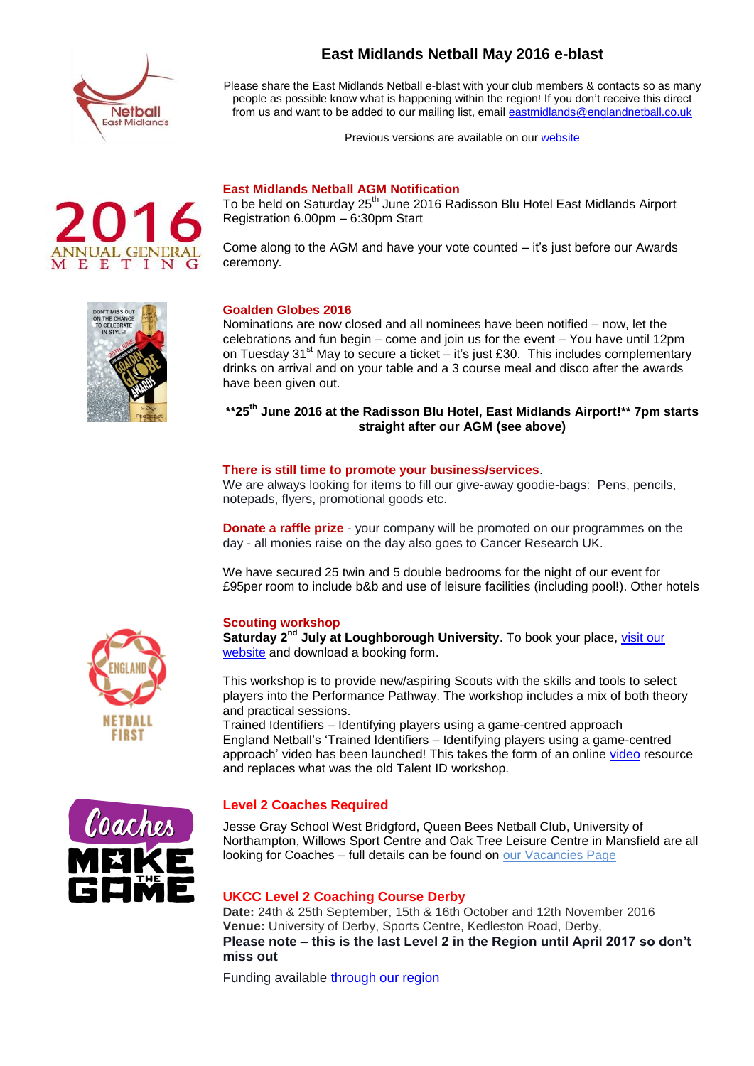

**East Midlands Netball May 2016 e-blast**

Please share the East Midlands Netball e-blast with your club members & contacts so as many people as possible know what is happening within the region! If you don't receive this direct from us and want to be added to our mailing list, email [eastmidlands@englandnetball.co.uk](mailto:eastmidlands@englandnetball.co.uk)

Previous versions are available on our [website](http://www.eastmidlandsnetball.co.uk/e-blast.html)

# **East Midlands Netball AGM Notification**

To be held on Saturday 25<sup>th</sup> June 2016 Radisson Blu Hotel East Midlands Airport Registration 6.00pm – 6:30pm Start

Come along to the AGM and have your vote counted – it's just before our Awards ceremony.



**MEETING** 

# **Goalden Globes 2016**

Nominations are now closed and all nominees have been notified – now, let the celebrations and fun begin – come and join us for the event – You have until 12pm on Tuesday 31<sup>st</sup> May to secure a ticket – it's just £30. This includes complementary drinks on arrival and on your table and a 3 course meal and disco after the awards have been given out.

# **\*\*25th June 2016 at the Radisson Blu Hotel, East Midlands Airport!\*\* 7pm starts straight after our AGM (see above)**

#### **There is still time to promote your business/services**.

We are always looking for items to fill our give-away goodie-bags: Pens, pencils, notepads, flyers, promotional goods etc.

**Donate a raffle prize** - your company will be promoted on our programmes on the day - all monies raise on the day also goes to Cancer Research UK.

We have secured 25 twin and 5 double bedrooms for the night of our event for £95per room to include b&b and use of leisure facilities (including pool!). Other hotels

# **Scouting workshop**

Saturday 2<sup>nd</sup> July at Loughborough University. To book your place, visit our [website](http://www.eastmidlandsnetball.co.uk/performance-workshops.html) and download a booking form.

This workshop is to provide new/aspiring Scouts with the skills and tools to select players into the Performance Pathway. The workshop includes a mix of both theory and practical sessions.

Trained Identifiers – Identifying players using a game-centred approach England Netball's 'Trained Identifiers – Identifying players using a game-centred approach' [video](http://www.eastmidlandsnetball.co.uk/performance-workshops.html) has been launched! This takes the form of an online video resource and replaces what was the old Talent ID workshop.

#### **Level 2 Coaches Required**

Jesse Gray School West Bridgford, Queen Bees Netball Club, University of Northampton, Willows Sport Centre and Oak Tree Leisure Centre in Mansfield are all looking for Coaches – full details can be found on [our Vacancies Page](http://www.eastmidlandsnetball.co.uk/current-vacancies.html)

#### **UKCC Level 2 Coaching Course Derby**

**Date:** 24th & 25th September, 15th & 16th October and 12th November 2016 **Venue:** University of Derby, Sports Centre, Kedleston Road, Derby, **Please note – this is the last Level 2 in the Region until April 2017 so don't miss out**

Funding available [through our region](http://www.eastmidlandsnetball.co.uk/regional-funding.html)



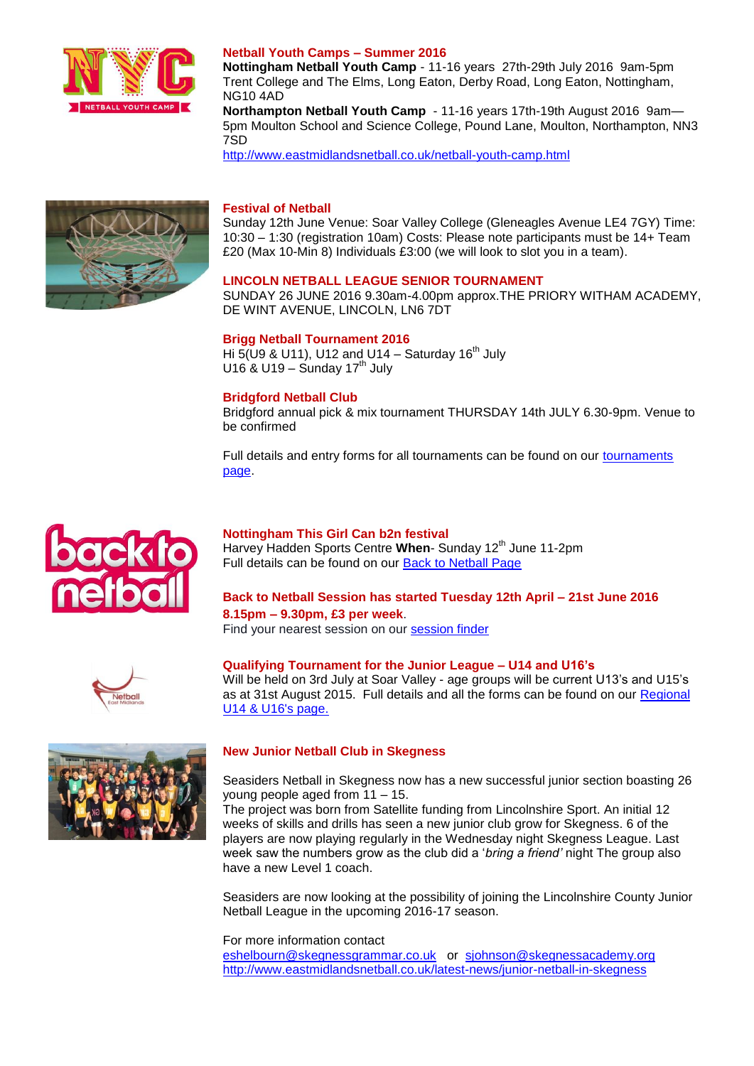

# **Netball Youth Camps – Summer 2016**

**Nottingham Netball Youth Camp** - 11-16 years 27th-29th July 2016 9am-5pm Trent College and The Elms, Long Eaton, Derby Road, Long Eaton, Nottingham, NG10 4AD

**Northampton Netball Youth Camp** - 11-16 years 17th-19th August 2016 9am— 5pm Moulton School and Science College, Pound Lane, Moulton, Northampton, NN3 7SD

<http://www.eastmidlandsnetball.co.uk/netball-youth-camp.html>



#### **Festival of Netball**

Sunday 12th June Venue: Soar Valley College (Gleneagles Avenue LE4 7GY) Time: 10:30 – 1:30 (registration 10am) Costs: Please note participants must be 14+ Team £20 (Max 10-Min 8) Individuals £3:00 (we will look to slot you in a team).

#### **LINCOLN NETBALL LEAGUE SENIOR TOURNAMENT**

SUNDAY 26 JUNE 2016 9.30am-4.00pm approx.THE PRIORY WITHAM ACADEMY, DE WINT AVENUE, LINCOLN, LN6 7DT

#### **Brigg Netball Tournament 2016**

Hi 5(U9 & U11), U12 and U14 – Saturday  $16<sup>th</sup>$  July U16 & U19 – Sunday  $17^{\text{th}}$  July

## **Bridgford Netball Club**

Bridgford annual pick & mix tournament THURSDAY 14th JULY 6.30-9pm. Venue to be confirmed

Full details and entry forms for all tournaments can be found on our [tournaments](http://www.eastmidlandsnetball.co.uk/upcoming-tournaments.html)  [page.](http://www.eastmidlandsnetball.co.uk/upcoming-tournaments.html)



#### **Nottingham This Girl Can b2n festival**

Harvey Hadden Sports Centre When- Sunday 12<sup>th</sup> June 11-2pm Full details can be found on our [Back to Netball Page](http://www.eastmidlandsnetball.co.uk/back-to-netball.html)

# **Back to Netball Session has started Tuesday 12th April – 21st June 2016 8.15pm – 9.30pm, £3 per week**.

Find your nearest session on our [session finder](http://www.eastmidlandsnetball.co.uk/back-to-netball.html)



**Qualifying Tournament for the Junior League – U14 and U16's**

Will be held on 3rd July at Soar Valley - age groups will be current U13's and U15's as at 31st August 2015. Full details and all the forms can be found on our Regional [U14 & U16's page.](http://www.eastmidlandsnetball.co.uk/regional-u14--u16.html)



# **New Junior Netball Club in Skegness**

Seasiders Netball in Skegness now has a new successful junior section boasting 26 young people aged from 11 – 15.

The project was born from Satellite funding from Lincolnshire Sport. An initial 12 weeks of skills and drills has seen a new junior club grow for Skegness. 6 of the players are now playing regularly in the Wednesday night Skegness League. Last week saw the numbers grow as the club did a '*bring a friend'* night The group also have a new Level 1 coach.

Seasiders are now looking at the possibility of joining the Lincolnshire County Junior Netball League in the upcoming 2016-17 season.

For more information contact [eshelbourn@skegnessgrammar.co.uk](mailto:eshelbourn@skegnessgrammar.co.uk) or [sjohnson@skegnessacademy.org](mailto:sjohnson@skegnessacademy.org) <http://www.eastmidlandsnetball.co.uk/latest-news/junior-netball-in-skegness>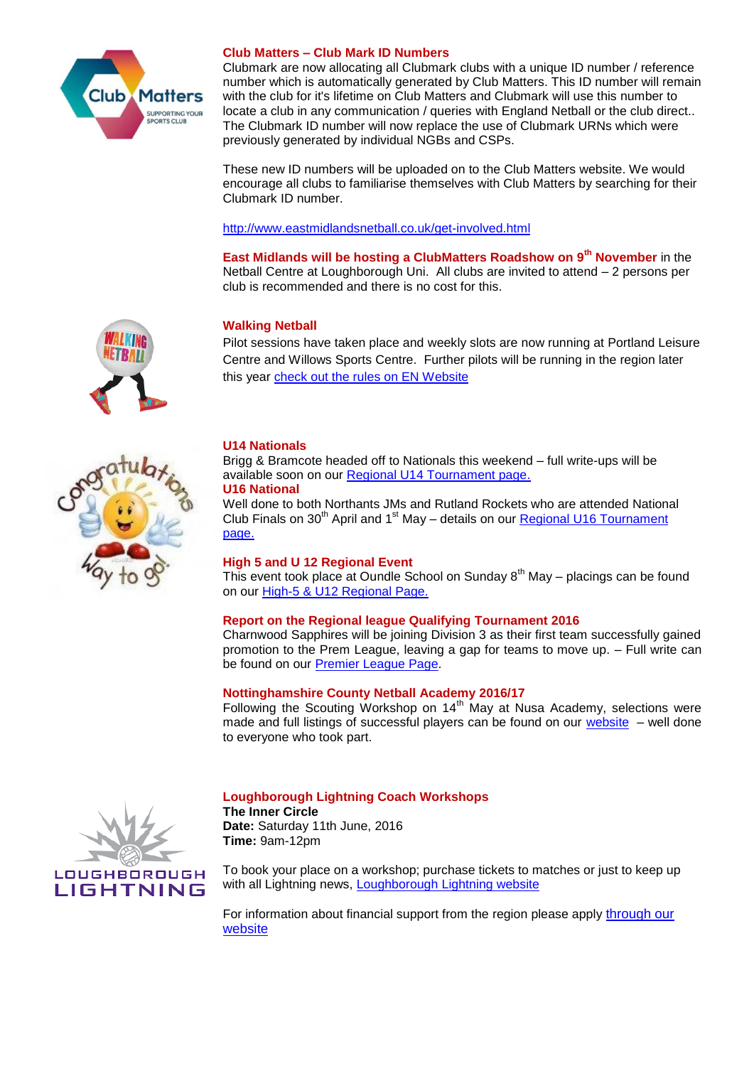

# **Club Matters – Club Mark ID Numbers**

Clubmark are now allocating all Clubmark clubs with a unique ID number / reference number which is automatically generated by Club Matters. This ID number will remain with the club for it's lifetime on Club Matters and Clubmark will use this number to locate a club in any communication / queries with England Netball or the club direct.. The Clubmark ID number will now replace the use of Clubmark URNs which were previously generated by individual NGBs and CSPs.

These new ID numbers will be uploaded on to the Club Matters website. We would encourage all clubs to familiarise themselves with Club Matters by searching for their Clubmark ID number.

<http://www.eastmidlandsnetball.co.uk/get-involved.html>

**East Midlands will be hosting a ClubMatters Roadshow on 9th November** in the Netball Centre at Loughborough Uni. All clubs are invited to attend – 2 persons per club is recommended and there is no cost for this.

# **Walking Netball**

Pilot sessions have taken place and weekly slots are now running at Portland Leisure Centre and Willows Sports Centre. Further pilots will be running in the region later this year [check out the rules on EN Website](http://www.englandnetball.co.uk/my-game/Walking_Netball)

# **U14 Nationals**

Brigg & Bramcote headed off to Nationals this weekend – full write-ups will be available soon on our [Regional U14 Tournament page.](http://www.eastmidlandsnetball.co.uk/regional-u14-tournament.html)

# **U16 National**

Well done to both Northants JMs and Rutland Rockets who are attended National Club Finals on  $30<sup>th</sup>$  April and 1<sup>st</sup> May – details on our Regional U16 Tournament [page.](http://www.eastmidlandsnetball.co.uk/regional-u16-tournament.html)

# **High 5 and U 12 Regional Event**

This event took place at Oundle School on Sunday  $8<sup>th</sup>$  May – placings can be found on our [High-5 & U12 Regional Page.](http://www.eastmidlandsnetball.co.uk/high-5--u12-regional.html)

# **Report on the Regional league Qualifying Tournament 2016**

Charnwood Sapphires will be joining Division 3 as their first team successfully gained promotion to the Prem League, leaving a gap for teams to move up. – Full write can be found on our [Premier League Page.](http://www.eastmidlandsnetball.co.uk/premier-league.html)

# **Nottinghamshire County Netball Academy 2016/17**

Following the Scouting Workshop on  $14<sup>th</sup>$  May at Nusa Academy, selections were made and full listings of successful players can be found on our [website](http://www.eastmidlandsnetball.co.uk/performance-workshops.html) – well done to everyone who took part.



# **Loughborough Lightning Coach Workshops**

**The Inner Circle Date:** Saturday 11th June, 2016 **Time:** 9am-12pm

To book your place on a workshop; purchase tickets to matches or just to keep up with all Lightning news, [Loughborough Lightning website](http://loughboroughsport.com/loughborough-lightning/)

For information about financial support from the region please apply through our [website](http://www.eastmidlandsnetball.co.uk/regional-funding.html)

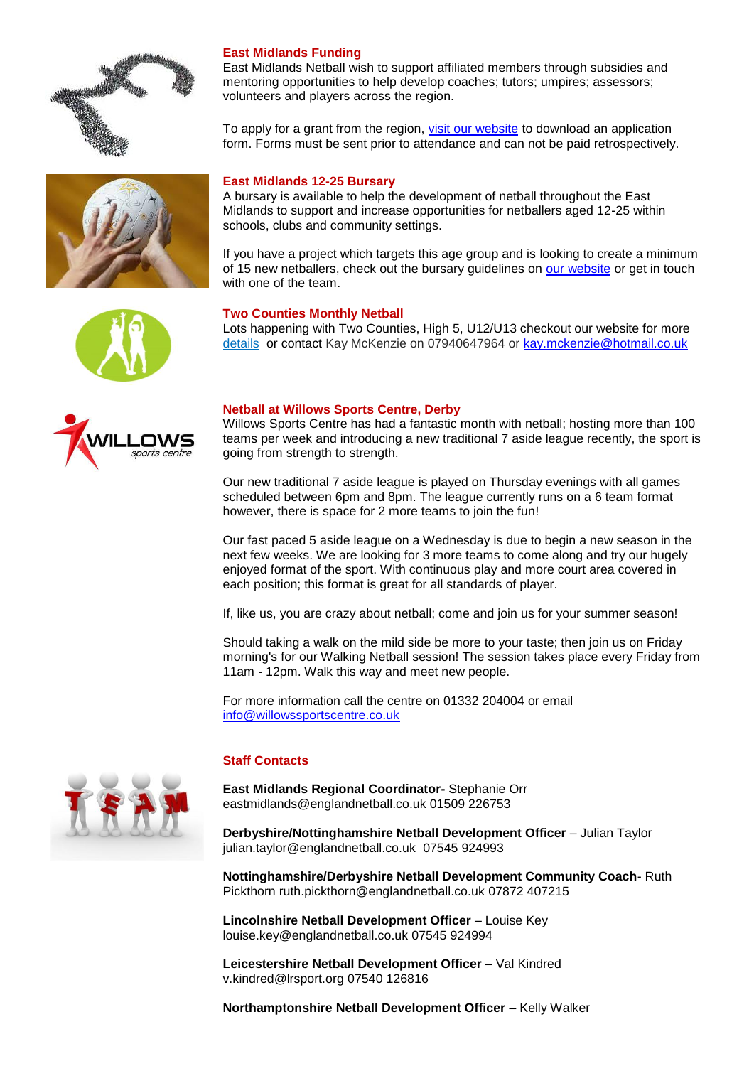





East Midlands Netball wish to support affiliated members through subsidies and mentoring opportunities to help develop coaches; tutors; umpires; assessors; volunteers and players across the region.

To apply for a grant from the region, [visit our website](http://www.eastmidlandsnetball.co.uk/regional-funding.html) to download an application form. Forms must be sent prior to attendance and can not be paid retrospectively.

# **East Midlands 12-25 Bursary**

A bursary is available to help the development of netball throughout the East Midlands to support and increase opportunities for netballers aged 12-25 within schools, clubs and community settings.

If you have a project which targets this age group and is looking to create a minimum of 15 new netballers, check out the bursary guidelines on [our website](http://www.eastmidlandsnetball.co.uk/funding.html) or get in touch with one of the team.

# **Two Counties Monthly Netball**

Lots happening with Two Counties, High 5, U12/U13 checkout our website for more [details](http://www.eastmidlandsnetball.co.uk/two-counties-monthly-tournaments.html) or contact Kay McKenzie on 07940647964 or [kay.mckenzie@hotmail.co.uk](mailto:kay.mckenzie@hotmail.co.uk)



# **Netball at Willows Sports Centre, Derby**

Willows Sports Centre has had a fantastic month with netball; hosting more than 100 teams per week and introducing a new traditional 7 aside league recently, the sport is going from strength to strength.

Our new traditional 7 aside league is played on Thursday evenings with all games scheduled between 6pm and 8pm. The league currently runs on a 6 team format however, there is space for 2 more teams to join the fun!

Our fast paced 5 aside league on a Wednesday is due to begin a new season in the next few weeks. We are looking for 3 more teams to come along and try our hugely enjoyed format of the sport. With continuous play and more court area covered in each position; this format is great for all standards of player.

If, like us, you are crazy about netball; come and join us for your summer season!

Should taking a walk on the mild side be more to your taste; then join us on Friday morning's for our Walking Netball session! The session takes place every Friday from 11am - 12pm. Walk this way and meet new people.

For more information call the centre on 01332 204004 or email [info@willowssportscentre.co.uk](mailto:info@willowssportscentre.co.uk)

# **Staff Contacts**

**East Midlands Regional Coordinator-** Stephanie Orr eastmidlands@englandnetball.co.uk 01509 226753

**Derbyshire/Nottinghamshire Netball Development Officer** – Julian Taylor julian.taylor@englandnetball.co.uk 07545 924993

**Nottinghamshire/Derbyshire Netball Development Community Coach**- Ruth Pickthorn ruth.pickthorn@englandnetball.co.uk 07872 407215

**Lincolnshire Netball Development Officer** – Louise Key louise.key@englandnetball.co.uk 07545 924994

**Leicestershire Netball Development Officer** – Val Kindred v.kindred@lrsport.org 07540 126816

**Northamptonshire Netball Development Officer** – Kelly Walker